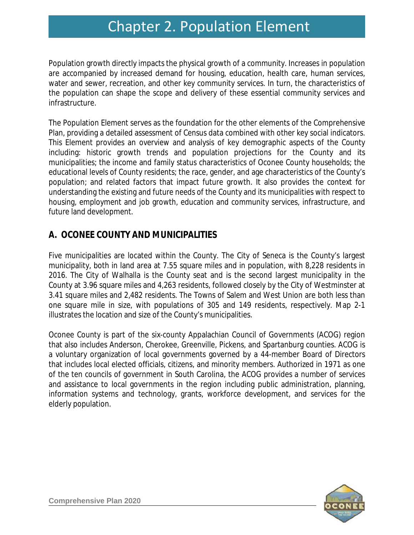# Chapter 2. Population Element Chapter 2. Population Element

Population growth directly impacts the physical growth of a community. Increases in population are accompanied by increased demand for housing, education, health care, human services, water and sewer, recreation, and other key community services. In turn, the characteristics of the population can shape the scope and delivery of these essential community services and infrastructure.

The Population Element serves as the foundation for the other elements of the Comprehensive Plan, providing a detailed assessment of Census data combined with other key social indicators. This Element provides an overview and analysis of key demographic aspects of the County including: historic growth trends and population projections for the County and its municipalities; the income and family status characteristics of Oconee County households; the educational levels of County residents; the race, gender, and age characteristics of the County's population; and related factors that impact future growth. It also provides the context for understanding the existing and future needs of the County and its municipalities with respect to housing, employment and job growth, education and community services, infrastructure, and future land development.

## **A. OCONEE COUNTY AND MUNICIPALITIES**

Five municipalities are located within the County. The City of Seneca is the County's largest municipality, both in land area at 7.55 square miles and in population, with 8,228 residents in 2016. The City of Walhalla is the County seat and is the second largest municipality in the County at 3.96 square miles and 4,263 residents, followed closely by the City of Westminster at 3.41 square miles and 2,482 residents. The Towns of Salem and West Union are both less than one square mile in size, with populations of 305 and 149 residents, respectively. Map 2-1 illustrates the location and size of the County's municipalities.

Oconee County is part of the six-county Appalachian Council of Governments (ACOG) region that also includes Anderson, Cherokee, Greenville, Pickens, and Spartanburg counties. ACOG is a voluntary organization of local governments governed by a 44-member Board of Directors that includes local elected officials, citizens, and minority members. Authorized in 1971 as one of the ten councils of government in South Carolina, the ACOG provides a number of services and assistance to local governments in the region including public administration, planning, information systems and technology, grants, workforce development, and services for the elderly population.

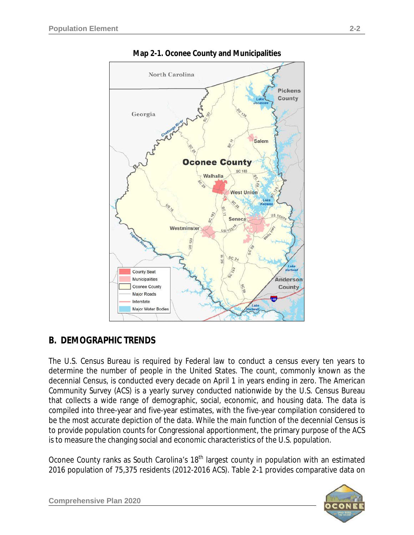

**Map 2-1. Oconee County and Municipalities**

# **B. DEMOGRAPHIC TRENDS**

The U.S. Census Bureau is required by Federal law to conduct a census every ten years to determine the number of people in the United States. The count, commonly known as the decennial Census, is conducted every decade on April 1 in years ending in zero. The *American Community Survey* (ACS) is a yearly survey conducted nationwide by the U.S. Census Bureau that collects a wide range of demographic, social, economic, and housing data. The data is compiled into three-year and five-year estimates, with the five-year compilation considered to be the most accurate depiction of the data. While the main function of the decennial Census is to provide population counts for Congressional apportionment, the primary purpose of the ACS is to measure the changing social and economic characteristics of the U.S. population.

Oconee County ranks as South Carolina's 18<sup>th</sup> largest county in population with an estimated 2016 population of 75,375 residents *(2012-2016 ACS)*. Table 2-1 provides comparative data on



**Comprehensive Plan 2020 years and the Comprehensive Plan 2020**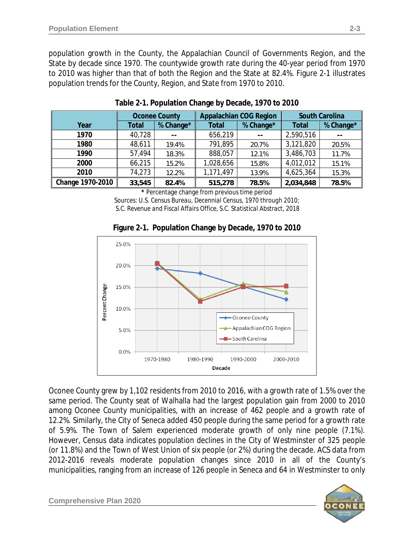population growth in the County, the Appalachian Council of Governments Region, and the State by decade since 1970. The countywide growth rate during the 40-year period from 1970 to 2010 was higher than that of both the Region and the State at 82.4%. Figure 2-1 illustrates population trends for the County, Region, and State from 1970 to 2010.

|                  | <b>Oconee County</b> |           |              | <b>Appalachian COG Region</b> | <b>South Carolina</b> |           |  |
|------------------|----------------------|-----------|--------------|-------------------------------|-----------------------|-----------|--|
| Year             | Total                | % Change* | <b>Total</b> | % Change*                     | <b>Total</b>          | % Change* |  |
| 1970             | 40,728               | --        | 656,219      | --                            | 2,590,516             |           |  |
| 1980             | 48,611               | 19.4%     | 791,895      | 20.7%                         | 3,121,820             | 20.5%     |  |
| 1990             | 57,494               | 18.3%     | 888,057      | 12.1%                         | 3,486,703             | 11.7%     |  |
| 2000             | 66,215               | 15.2%     | 1,028,656    | 15.8%                         | 4,012,012             | 15.1%     |  |
| 2010             | 74,273               | 12.2%     | 1,171,497    | 13.9%                         | 4,625,364             | 15.3%     |  |
| Change 1970-2010 | 33,545               | 82.4%     | 515,278      | 78.5%                         | 2,034,848             | 78.5%     |  |

**Table 2-1. Population Change by Decade, 1970 to 2010**

**\*** Percentage change from previous time period

*Sources: U.S. Census Bureau, Decennial Census, 1970 through 2010; S.C. Revenue and Fiscal Affairs Office, S.C. Statistical Abstract, 2018*





Oconee County grew by 1,102 residents from 2010 to 2016, with a growth rate of 1.5% over the same period. The County seat of Walhalla had the largest population gain from 2000 to 2010 among Oconee County municipalities, with an increase of 462 people and a growth rate of 12.2%. Similarly, the City of Seneca added 450 people during the same period for a growth rate of 5.9%. The Town of Salem experienced moderate growth of only nine people (7.1%). However, Census data indicates population declines in the City of Westminster of 325 people (or 11.8%) and the Town of West Union of six people (or 2%) during the decade. ACS data from 2012-2016 reveals moderate population changes since 2010 in all of the County's municipalities, ranging from an increase of 126 people in Seneca and 64 in Westminster to only



**Comprehensive Plan 2020 years and the Comprehensive Plan 2020**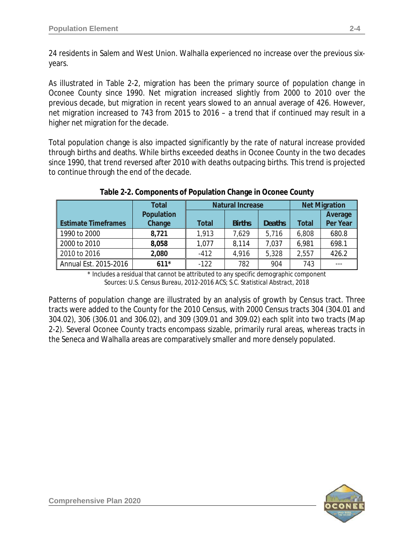24 residents in Salem and West Union. Walhalla experienced no increase over the previous sixyears.

As illustrated in Table 2-2, migration has been the primary source of population change in Oconee County since 1990. Net migration increased slightly from 2000 to 2010 over the previous decade, but migration in recent years slowed to an annual average of 426. However, net migration increased to 743 from 2015 to 2016 – a trend that if continued may result in a higher net migration for the decade.

Total population change is also impacted significantly by the rate of natural increase provided through births and deaths. While births exceeded deaths in Oconee County in the two decades since 1990, that trend reversed after 2010 with deaths outpacing births. This trend is projected to continue through the end of the decade.

|                            | <b>Total</b> |              | <b>Natural Increase</b> |               | <b>Net Migration</b> |          |  |
|----------------------------|--------------|--------------|-------------------------|---------------|----------------------|----------|--|
|                            | Population   |              |                         |               |                      | Average  |  |
| <b>Estimate Timeframes</b> | Change       | <b>Total</b> | <b>Births</b>           | <b>Deaths</b> | Total                | Per Year |  |
| 1990 to 2000               | 8,721        | 1,913        | 7,629                   | 5,716         | 6,808                | 680.8    |  |
| 2000 to 2010               | 8,058        | 1,077        | 8,114                   | 7,037         | 6,981                | 698.1    |  |
| 2010 to 2016               | 2,080        | $-412$       | 4,916                   | 5,328         | 2,557                | 426.2    |  |
| Annual Est. 2015-2016      | $611*$       | $-122$       | 782                     | 904           | 743                  | ---      |  |

**Table 2-2. Components of Population Change in Oconee County**

\* Includes a residual that cannot be attributed to any specific demographic component *Sources: U.S. Census Bureau, 2012-2016 ACS; S.C. Statistical Abstract, 2018*

Patterns of population change are illustrated by an analysis of growth by Census tract. Three tracts were added to the County for the 2010 Census, with 2000 Census tracts 304 (304.01 and 304.02), 306 (306.01 and 306.02), and 309 (309.01 and 309.02) each split into two tracts (Map 2-2). Several Oconee County tracts encompass sizable, primarily rural areas, whereas tracts in the Seneca and Walhalla areas are comparatively smaller and more densely populated.

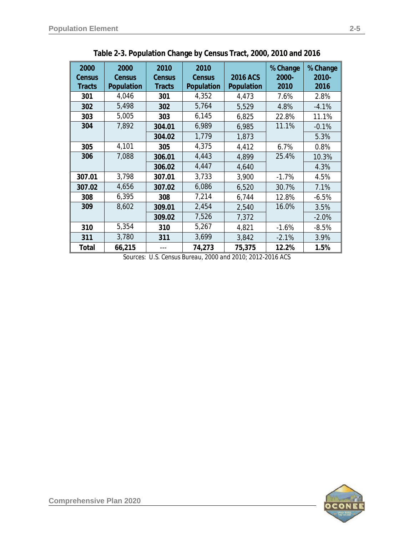| 2000<br>Census<br><b>Tracts</b> | 2000<br><b>Census</b><br>Population | 2010<br><b>Census</b><br><b>Tracts</b> | 2010<br><b>Census</b><br>Population | 2016 ACS<br>Population | % Change<br>2000-<br>2010 | % Change<br>2010-<br>2016 |
|---------------------------------|-------------------------------------|----------------------------------------|-------------------------------------|------------------------|---------------------------|---------------------------|
| 301                             | 4,046                               | 301                                    | 4,352                               | 4,473                  | 7.6%                      | 2.8%                      |
| 302                             | 5,498                               | 302                                    | 5,764                               | 5,529                  | 4.8%                      | $-4.1%$                   |
| 303                             | 5,005                               | 303                                    | 6,145                               | 6,825                  | 22.8%                     | 11.1%                     |
| 304                             | 7,892                               | 304.01                                 | 6,989                               | 6,985                  | 11.1%                     | $-0.1%$                   |
|                                 |                                     | 304.02                                 | 1,779                               | 1,873                  |                           | 5.3%                      |
| 305                             | 4,101                               | 305                                    | 4,375                               | 4,412                  | 6.7%                      | 0.8%                      |
| 306                             | 7,088                               | 306.01                                 | 4,443                               | 4,899                  | 25.4%                     | 10.3%                     |
|                                 |                                     | 306.02                                 | 4,447                               | 4,640                  |                           | 4.3%                      |
| 307.01                          | 3,798                               | 307.01                                 | 3,733                               | 3,900                  | $-1.7%$                   | 4.5%                      |
| 307.02                          | 4,656                               | 307.02                                 | 6,086                               | 6,520                  | 30.7%                     | 7.1%                      |
| 308                             | 6,395                               | 308                                    | 7,214                               | 6,744                  | 12.8%                     | $-6.5%$                   |
| 309                             | 8,602                               | 309.01                                 | 2,454                               | 2,540                  | 16.0%                     | 3.5%                      |
|                                 |                                     | 309.02                                 | 7,526                               | 7,372                  |                           | $-2.0%$                   |
| 310                             | 5,354                               | 310                                    | 5,267                               | 4,821                  | $-1.6%$                   | $-8.5%$                   |
| 311                             | 3,780                               | 311                                    | 3,699                               | 3,842                  | $-2.1%$                   | 3.9%                      |
| Total                           | 66,215                              |                                        | 74,273                              | 75,375                 | 12.2%                     | 1.5%                      |

**Table 2-3. Population Change by Census Tract, 2000, 2010 and 2016**

*Sources: U.S. Census Bureau, 2000 and 2010; 2012-2016 ACS*

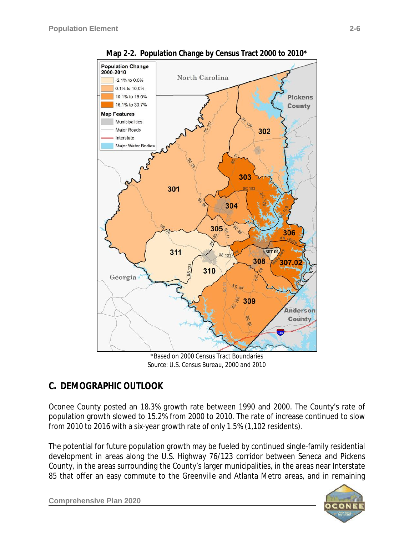

**Map 2-2. Population Change by Census Tract 2000 to 2010\***

\*Based on 2000 Census Tract Boundaries *Source: U.S. Census Bureau, 2000 and 2010*

# **C. DEMOGRAPHIC OUTLOOK**

Oconee County posted an 18.3% growth rate between 1990 and 2000. The County's rate of population growth slowed to 15.2% from 2000 to 2010. The rate of increase continued to slow from 2010 to 2016 with a six-year growth rate of only 1.5% (1,102 residents).

The potential for future population growth may be fueled by continued single-family residential development in areas along the U.S. Highway 76/123 corridor between Seneca and Pickens County, in the areas surrounding the County's larger municipalities, in the areas near Interstate 85 that offer an easy commute to the Greenville and Atlanta Metro areas, and in remaining

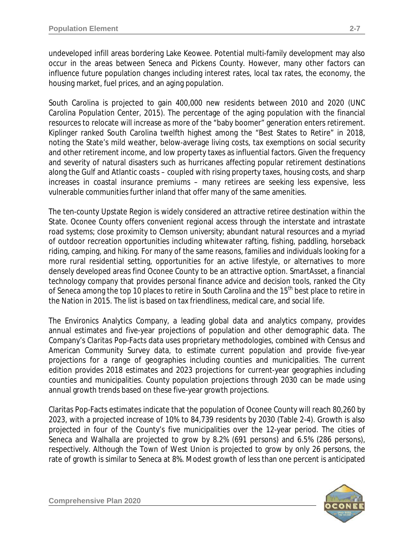undeveloped infill areas bordering Lake Keowee. Potential multi-family development may also occur in the areas between Seneca and Pickens County. However, many other factors can influence future population changes including interest rates, local tax rates, the economy, the housing market, fuel prices, and an aging population.

South Carolina is projected to gain 400,000 new residents between 2010 and 2020 *(UNC Carolina Population Center, 2015)*. The percentage of the aging population with the financial resources to relocate will increase as more of the "baby boomer" generation enters retirement. *Kiplinger* ranked South Carolina twelfth highest among the "Best States to Retire" in 2018, noting the State's mild weather, below-average living costs, tax exemptions on social security and other retirement income, and low property taxes as influential factors. Given the frequency and severity of natural disasters such as hurricanes affecting popular retirement destinations along the Gulf and Atlantic coasts – coupled with rising property taxes, housing costs, and sharp increases in coastal insurance premiums – many retirees are seeking less expensive, less vulnerable communities further inland that offer many of the same amenities.

The ten-county Upstate Region is widely considered an attractive retiree destination within the State. Oconee County offers convenient regional access through the interstate and intrastate road systems; close proximity to Clemson university; abundant natural resources and a myriad of outdoor recreation opportunities including whitewater rafting, fishing, paddling, horseback riding, camping, and hiking. For many of the same reasons, families and individuals looking for a more rural residential setting, opportunities for an active lifestyle, or alternatives to more densely developed areas find Oconee County to be an attractive option. *SmartAsset*, a financial technology company that provides personal finance advice and decision tools, ranked the City of Seneca among the top 10 places to retire in South Carolina and the 15<sup>th</sup> best place to retire in the Nation in 2015. The list is based on tax friendliness, medical care, and social life.

The Environics Analytics Company, a leading global data and analytics company, provides annual estimates and five-year projections of population and other demographic data. The Company's *Claritas Pop-Facts* data uses proprietary methodologies, combined with Census and American Community Survey data, to estimate current population and provide five-year projections for a range of geographies including counties and municipalities. The current edition provides 2018 estimates and 2023 projections for current-year geographies including counties and municipalities. County population projections through 2030 can be made using annual growth trends based on these five-year growth projections.

Claritas Pop-Facts estimates indicate that the population of Oconee County will reach 80,260 by 2023, with a projected increase of 10% to 84,739 residents by 2030 (Table 2-4). Growth is also projected in four of the County's five municipalities over the 12-year period. The cities of Seneca and Walhalla are projected to grow by 8.2% (691 persons) and 6.5% (286 persons), respectively. Although the Town of West Union is projected to grow by only 26 persons, the rate of growth is similar to Seneca at 8%. Modest growth of less than one percent is anticipated

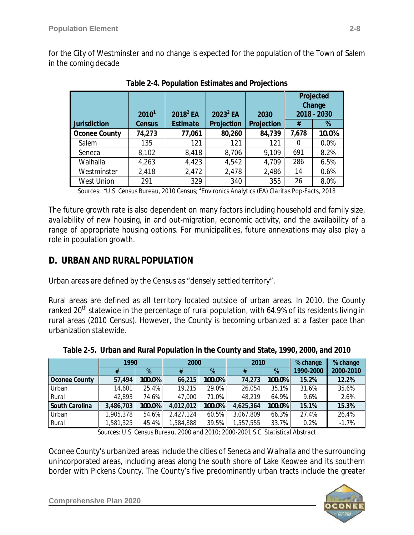for the City of Westminster and no change is expected for the population of the Town of Salem in the coming decade

|                      | 2010 <sup>1</sup> | $2018^2$ EA     | $2023^2$ EA | 2030       | Projected<br>Change<br>2018 - 2030 |       |
|----------------------|-------------------|-----------------|-------------|------------|------------------------------------|-------|
| <b>Jurisdiction</b>  | Census            | <b>Estimate</b> | Projection  | Projection | #                                  | %     |
| <b>Oconee County</b> | 74,273            | 77,061          | 80,260      | 84,739     | 7,678                              | 10.0% |
| Salem                | 135               | 121             | 121         | 121        | $\Omega$                           | 0.0%  |
| Seneca               | 8,102             | 8,418           | 8,706       | 9,109      | 691                                | 8.2%  |
| Walhalla             | 4,263             | 4,423           | 4,542       | 4,709      | 286                                | 6.5%  |
| Westminster          | 2,418             | 2,472           | 2,478       | 2,486      | 14                                 | 0.6%  |
| <b>West Union</b>    | 291               | 329             | 340         | 355        | 26                                 | 8.0%  |

**Table 2-4. Population Estimates and Projections**

*Sources: <sup>1</sup> U.S. Census Bureau, 2010 Census; <sup>2</sup> Environics Analytics (EA) Claritas Pop-Facts, 2018*

The future growth rate is also dependent on many factors including household and family size, availability of new housing, in and out-migration, economic activity, and the availability of a range of appropriate housing options. For municipalities, future annexations may also play a role in population growth.

## **D. URBAN AND RURAL POPULATION**

Urban areas are defined by the Census as "densely settled territory".

Rural areas are defined as all territory located outside of urban areas. In 2010, the County ranked 20<sup>th</sup> statewide in the percentage of rural population, with 64.9% of its residents living in rural areas *(2010 Census)*. However, the County is becoming urbanized at a faster pace than urbanization statewide.

| 1990           |           |        | 2000      |        | 2010      |        | % change  | % change  |
|----------------|-----------|--------|-----------|--------|-----------|--------|-----------|-----------|
|                |           | $\%$   |           | %      | %<br>#    |        | 1990-2000 | 2000-2010 |
| Oconee County  | 57,494    | 100.0% | 66,215    | 100.0% | 74,273    | 100.0% | 15.2%     | 12.2%     |
| Urban          | 14,601    | 25.4%  | 19,215    | 29.0%  | 26,054    | 35.1%  | 31.6%     | 35.6%     |
| Rural          | 42,893    | 74.6%  | 47,000    | 71.0%  | 48,219    | 64.9%  | 9.6%      | 2.6%      |
| South Carolina | 3,486,703 | 100.0% | 4,012,012 | 100.0% | 4,625,364 | 100.0% | 15.1%     | 15.3%     |
| Urban          | 1,905,378 | 54.6%  | 2,427,124 | 60.5%  | 3,067,809 | 66.3%  | 27.4%     | 26.4%     |
| Rural          | 1,581,325 | 45.4%  | ,584,888  | 39.5%  | 1,557,555 | 33.7%  | 0.2%      | $-1.7%$   |

**Table 2-5. Urban and Rural Population in the County and State, 1990, 2000, and 2010**

*Sources: U.S. Census Bureau, 2000 and 2010; 2000-2001 S.C. Statistical Abstract*

Oconee County's urbanized areas include the cities of Seneca and Walhalla and the surrounding unincorporated areas, including areas along the south shore of Lake Keowee and its southern border with Pickens County. The County's five predominantly urban tracts include the greater



**Comprehensive Plan 2020 years and the Comprehensive Plan 2020**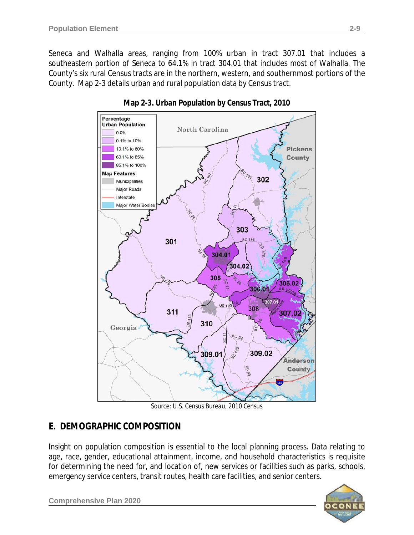Seneca and Walhalla areas, ranging from 100% urban in tract 307.01 that includes a southeastern portion of Seneca to 64.1% in tract 304.01 that includes most of Walhalla. The County's six rural Census tracts are in the northern, western, and southernmost portions of the County. Map 2-3 details urban and rural population data by Census tract.



**Map 2-3. Urban Population by Census Tract, 2010**

*Source: U.S. Census Bureau, 2010 Census*

## **E. DEMOGRAPHIC COMPOSITION**

Insight on population composition is essential to the local planning process. Data relating to age, race, gender, educational attainment, income, and household characteristics is requisite for determining the need for, and location of, new services or facilities such as parks, schools, emergency service centers, transit routes, health care facilities, and senior centers.



**Comprehensive Plan 2020**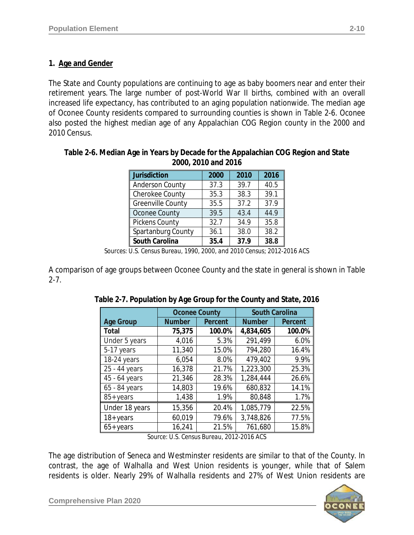#### **1. Age and Gender**

The State and County populations are continuing to age as baby boomers near and enter their retirement years. The large number of post-World War II births, combined with an overall increased life expectancy, has contributed to an aging population nationwide. The median age of Oconee County residents compared to surrounding counties is shown in Table 2-6. Oconee also posted the highest median age of any Appalachian COG Region county in the 2000 and 2010 Census.

| Table 2-6. Median Age in Years by Decade for the Appalachian COG Region and State |                     |  |  |
|-----------------------------------------------------------------------------------|---------------------|--|--|
|                                                                                   | 2000, 2010 and 2016 |  |  |
|                                                                                   |                     |  |  |

| Jurisdiction             | 2000 | 2010 | 2016 |
|--------------------------|------|------|------|
| <b>Anderson County</b>   | 37.3 | 39.7 | 40.5 |
| Cherokee County          | 35.3 | 38.3 | 39.1 |
| <b>Greenville County</b> | 35.5 | 37.2 | 37.9 |
| Oconee County            | 39.5 | 43.4 | 44.9 |
| Pickens County           | 32.7 | 34.9 | 35.8 |
| Spartanburg County       | 36.1 | 38.0 | 38.2 |
| South Carolina           | 35.4 | 37.9 | 38.8 |

*Sources: U.S. Census Bureau, 1990, 2000, and 2010 Census; 2012-2016 ACS*

A comparison of age groups between Oconee County and the state in general is shown in Table 2-7.

|                  | <b>Oconee County</b> |                | <b>South Carolina</b> |                |  |
|------------------|----------------------|----------------|-----------------------|----------------|--|
| <b>Age Group</b> | <b>Number</b>        | <b>Percent</b> | <b>Number</b>         | <b>Percent</b> |  |
| Total            | 75,375               | 100.0%         | 4,834,605             | 100.0%         |  |
| Under 5 years    | 4,016                | 5.3%           | 291,499               | 6.0%           |  |
| 5-17 years       | 11,340               | 15.0%          | 794,280               | 16.4%          |  |
| 18-24 years      | 6,054                | 8.0%           | 479,402               | 9.9%           |  |
| 25 - 44 years    | 16,378               | 21.7%          | 1,223,300             | 25.3%          |  |
| 45 - 64 years    | 21,346               | 28.3%          | 1,284,444             | 26.6%          |  |
| 65 - 84 years    | 14,803               | 19.6%          | 680,832               | 14.1%          |  |
| 85+ years        | 1,438                | 1.9%           | 80,848                | 1.7%           |  |
| Under 18 years   | 15,356               | 20.4%          | 1,085,779             | 22.5%          |  |
| $18 + years$     | 60,019               | 79.6%          | 3,748,826             | 77.5%          |  |
| $65+years$       | 16,241               | 21.5%          | 761,680               | 15.8%          |  |

| Table 2-7. Population by Age Group for the County and State, 2016 |  |  |
|-------------------------------------------------------------------|--|--|
|                                                                   |  |  |
|                                                                   |  |  |

*Source: U.S. Census Bureau, 2012-2016 ACS*

The age distribution of Seneca and Westminster residents are similar to that of the County. In contrast, the age of Walhalla and West Union residents is younger, while that of Salem residents is older. Nearly 29% of Walhalla residents and 27% of West Union residents are



**Comprehensive Plan 2020**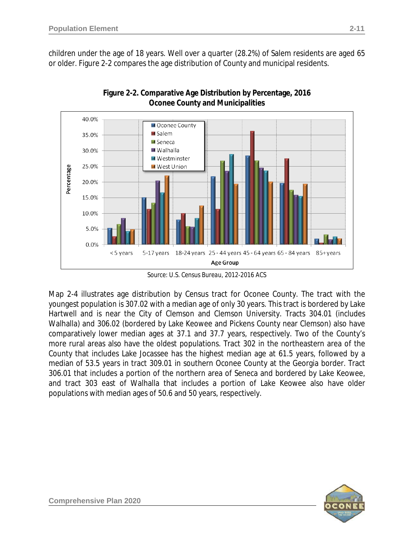children under the age of 18 years. Well over a quarter (28.2%) of Salem residents are aged 65 or older. Figure 2-2 compares the age distribution of County and municipal residents.





*Source: U.S. Census Bureau, 2012-2016 ACS*

Map 2-4 illustrates age distribution by Census tract for Oconee County. The tract with the youngest population is 307.02 with a median age of only 30 years. This tract is bordered by Lake Hartwell and is near the City of Clemson and Clemson University. Tracts 304.01 (includes Walhalla) and 306.02 (bordered by Lake Keowee and Pickens County near Clemson) also have comparatively lower median ages at 37.1 and 37.7 years, respectively. Two of the County's more rural areas also have the oldest populations. Tract 302 in the northeastern area of the County that includes Lake Jocassee has the highest median age at 61.5 years, followed by a median of 53.5 years in tract 309.01 in southern Oconee County at the Georgia border. Tract 306.01 that includes a portion of the northern area of Seneca and bordered by Lake Keowee, and tract 303 east of Walhalla that includes a portion of Lake Keowee also have older populations with median ages of 50.6 and 50 years, respectively.

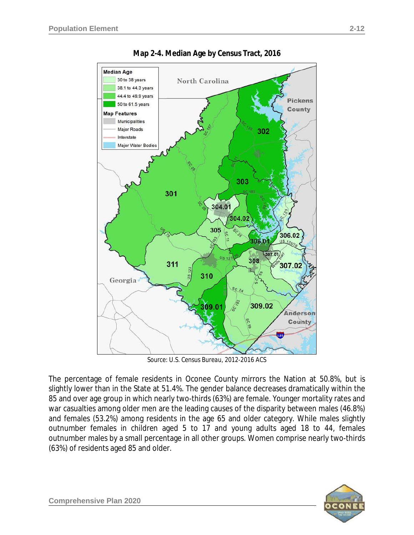

**Map 2-4. Median Age by Census Tract, 2016**

*Source: U.S. Census Bureau, 2012-2016 ACS*

The percentage of female residents in Oconee County mirrors the Nation at 50.8%, but is slightly lower than in the State at 51.4%. The gender balance decreases dramatically within the 85 and over age group in which nearly two-thirds (63%) are female. Younger mortality rates and war casualties among older men are the leading causes of the disparity between males (46.8%) and females (53.2%) among residents in the age 65 and older category. While males slightly outnumber females in children aged 5 to 17 and young adults aged 18 to 44, females outnumber males by a small percentage in all other groups. Women comprise nearly two-thirds (63%) of residents aged 85 and older.

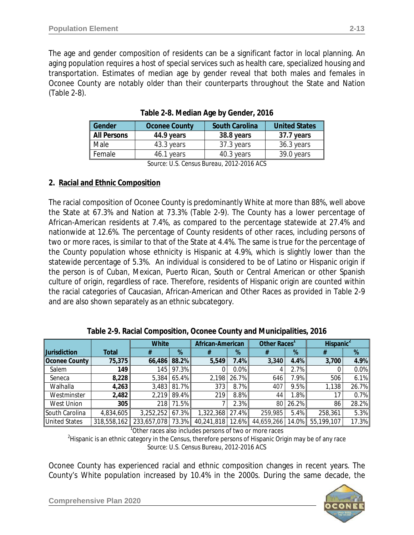The age and gender composition of residents can be a significant factor in local planning. An aging population requires a host of special services such as health care, specialized housing and transportation. Estimates of median age by gender reveal that both males and females in Oconee County are notably older than their counterparts throughout the State and Nation (Table 2-8).

| Gender             | <b>Oconee County</b> | <b>South Carolina</b> | <b>United States</b> |
|--------------------|----------------------|-----------------------|----------------------|
| <b>All Persons</b> | 44.9 years           | 38.8 years            | 37.7 years           |
| Male               | 43.3 years           | 37.3 years            | 36.3 years           |
| Female             | 46.1 years           | 40.3 years            | 39.0 years           |

**Table 2-8. Median Age by Gender, 2016**

*Source: U.S. Census Bureau, 2012-2016 ACS*

#### **2. Racial and Ethnic Composition**

The racial composition of Oconee County is predominantly White at more than 88%, well above the State at 67.3% and Nation at 73.3% (Table 2-9). The County has a lower percentage of African-American residents at 7.4%, as compared to the percentage statewide at 27.4% and nationwide at 12.6%. The percentage of County residents of other races, including persons of two or more races, is similar to that of the State at 4.4%. The same is true for the percentage of the County population whose ethnicity is Hispanic at 4.9%, which is slightly lower than the statewide percentage of 5.3%. An individual is considered to be of Latino or Hispanic origin if the person is of Cuban, Mexican, Puerto Rican, South or Central American or other Spanish culture of origin, regardless of race. Therefore, residents of Hispanic origin are counted within the racial categories of Caucasian, African-American and Other Races as provided in Table 2-9 and are also shown separately as an ethnic subcategory.

|                      |           | <b>White</b>                             |              | African-American |         | Other Races' |       | Hispanic <sup>2</sup> |         |
|----------------------|-----------|------------------------------------------|--------------|------------------|---------|--------------|-------|-----------------------|---------|
| <b>Jurisdiction</b>  | Total     |                                          | %            |                  | %       |              | %     |                       | %       |
| Oconee County        | 75,375    |                                          | 66,486 88.2% | 5,549            | $7.4\%$ | 3,340        | 4.4%  | 3,700                 | 4.9%    |
| Salem                | 149       |                                          | 145 97.3%    |                  | $0.0\%$ |              | 2.7%  |                       | $0.0\%$ |
| Seneca               | 8,228     | 5.384                                    | 65.4%        | 2,198            | 26.7%   | 646          | 7.9%  | 506                   | 6.1%    |
| Walhalla             | 4,263     |                                          | 3,483 81.7%  | 373              | $8.7\%$ | 407          | 9.5%  | 1,138                 | 26.7%   |
| Westminster          | 2,482     |                                          | 2,219 89.4%  | 219              | 8.8%    | 44           | 1.8%  | 17                    | 0.7%    |
| West Union           | 305       |                                          | 218 71.5%    |                  | 2.3%    | 80           | 26.2% | 86                    | 28.2%   |
| South Carolina       | 4,834,605 | 3,252,252                                | 67.3%        | 1,322,368 27.4%  |         | 259,985      | 5.4%  | 258,361               | 5.3%    |
| <b>United States</b> |           | 318,558,162 233,657,078 73.3% 40,241,818 |              |                  | 12.6%   | 44,659,266   | 14.0% | 55,199,107            | 17.3%   |

**Table 2-9. Racial Composition, Oconee County and Municipalities, 2016**

<sup>1</sup>Other races also includes persons of two or more races

 $^{2}$ Hispanic is an ethnic category in the Census, therefore persons of Hispanic Origin may be of any race *Source: U.S. Census Bureau, 2012-2016 ACS*

Oconee County has experienced racial and ethnic composition changes in recent years. The County's White population increased by 10.4% in the 2000s. During the same decade, the



**Comprehensive Plan 2020 years and the Comprehensive Plan 2020**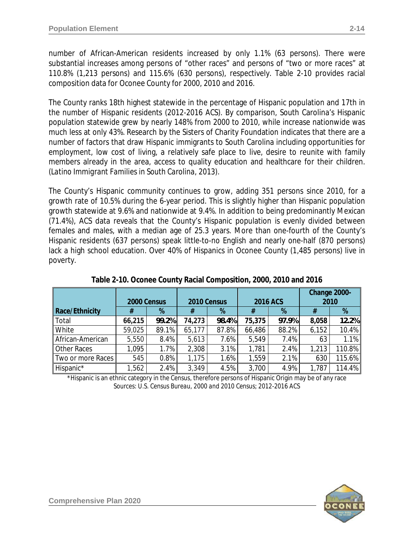number of African-American residents increased by only 1.1% (63 persons). There were substantial increases among persons of "other races" and persons of "two or more races" at 110.8% (1,213 persons) and 115.6% (630 persons), respectively. Table 2-10 provides racial composition data for Oconee County for 2000, 2010 and 2016.

The County ranks 18th highest statewide in the percentage of Hispanic population and 17th in the number of Hispanic residents *(2012-2016 ACS)*. By comparison, South Carolina's Hispanic population statewide grew by nearly 148% from 2000 to 2010, while increase nationwide was much less at only 43%. Research by the Sisters of Charity Foundation indicates that there are a number of factors that draw Hispanic immigrants to South Carolina including opportunities for employment, low cost of living, a relatively safe place to live, desire to reunite with family members already in the area, access to quality education and healthcare for their children. *(Latino Immigrant Families in South Carolina, 2013).*

The County's Hispanic community continues to grow, adding 351 persons since 2010, for a growth rate of 10.5% during the 6-year period. This is slightly higher than Hispanic population growth statewide at 9.6% and nationwide at 9.4%. In addition to being predominantly Mexican (71.4%), ACS data reveals that the County's Hispanic population is evenly divided between females and males, with a median age of 25.3 years. More than one-fourth of the County's Hispanic residents (637 persons) speak little-to-no English and nearly one-half (870 persons) lack a high school education. Over 40% of Hispanics in Oconee County (1,485 persons) live in poverty.

|                       | 2000 Census |       | 2010 Census |         | 2016 ACS |       | Change 2000-<br>2010 |        |
|-----------------------|-------------|-------|-------------|---------|----------|-------|----------------------|--------|
| <b>Race/Ethnicity</b> | #           | %     |             | %       | #        | %     | #                    | %      |
| Total                 | 66,215      | 99.2% | 74,273      | 98.4%   | 75,375   | 97.9% | 8,058                | 12.2%  |
| White                 | 59,025      | 89.1% | 65,177      | 87.8%   | 66,486   | 88.2% | 6,152                | 10.4%  |
| African-American      | 5,550       | 8.4%  | 5,613       | 7.6%    | 5,549    | 7.4%  | 63                   | 1.1%   |
| <b>Other Races</b>    | .095        | 1.7%  | 2,308       | 3.1%    | 1,781    | 2.4%  | 1,213                | 110.8% |
| Two or more Races     | 545         | 0.8%  | 1,175       | $1.6\%$ | 1,559    | 2.1%  | 630                  | 115.6% |
| Hispanic*             | ,562        | 2.4%  | 3,349       | 4.5%    | 3,700    | 4.9%  | 1,787                | 114.4% |

| Table 2-10. Oconee County Racial Composition, 2000, 2010 and 2016 |  |  |  |  |
|-------------------------------------------------------------------|--|--|--|--|

\*Hispanic is an ethnic category in the Census, therefore persons of Hispanic Origin may be of any race *Sources: U.S. Census Bureau, 2000 and 2010 Census; 2012-2016 ACS*

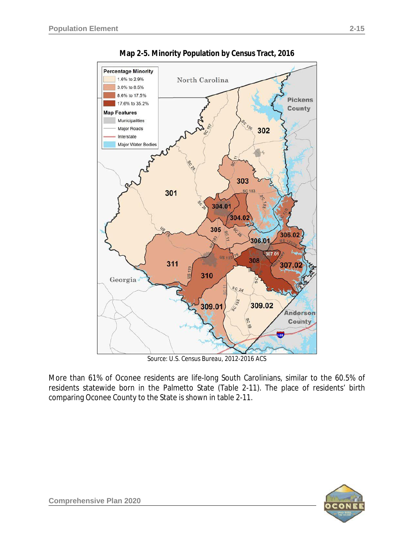

**Map 2-5. Minority Population by Census Tract, 2016**

*Source: U.S. Census Bureau, 2012-2016 ACS*

More than 61% of Oconee residents are life-long South Carolinians, similar to the 60.5% of residents statewide born in the Palmetto State (Table 2-11). The place of residents' birth comparing Oconee County to the State is shown in table 2-11.

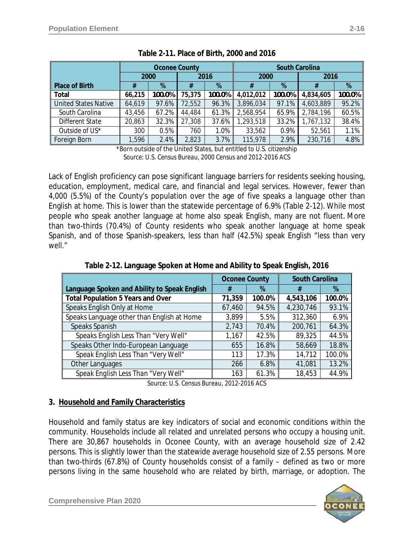|                             | <b>Oconee County</b> |        |        | <b>South Carolina</b> |           |        |           |        |
|-----------------------------|----------------------|--------|--------|-----------------------|-----------|--------|-----------|--------|
|                             | 2000                 |        | 2016   |                       | 2000      |        | 2016      |        |
| <b>Place of Birth</b>       | #                    | %      | %<br># |                       | #         | %      |           | %      |
| Total                       | 66,215               | 100.0% | 75,375 | 100.0%                | 4,012,012 | 100.0% | 4,834,605 | 100.0% |
| <b>United States Native</b> | 64,619               | 97.6%  | 72,552 | 96.3%                 | 3,896,034 | 97.1%  | 4,603,889 | 95.2%  |
| South Carolina              | 43,456               | 67.2%  | 44,484 | 61.3%                 | 2,568,954 | 65.9%  | 2,784,196 | 60.5%  |
| Different State             | 20,863               | 32.3%  | 27,308 | 37.6%                 | 1,293,518 | 33.2%  | 1,767,132 | 38.4%  |
| Outside of US*              | 300                  | 0.5%   | 760    | 1.0%                  | 33,562    | 0.9%   | 52,561    | 1.1%   |
| Foreign Born                | 1,596                | 2.4%   | 2,823  | 3.7%                  | 115,978   | 2.9%   | 230,716   | 4.8%   |

\*Born outside of the United States, but entitled to U.S. citizenship *Source: U.S. Census Bureau, 2000 Census and 2012-2016 ACS*

Lack of English proficiency can pose significant language barriers for residents seeking housing, education, employment, medical care, and financial and legal services. However, fewer than 4,000 (5.5%) of the County's population over the age of five speaks a language other than English at home. This is lower than the statewide percentage of 6.9% (Table 2-12). While most people who speak another language at home also speak English, many are not fluent. More than two-thirds (70.4%) of County residents who speak another language at home speak Spanish, and of those Spanish-speakers, less than half (42.5%) speak English "*less than very well.*"

**Table 2-12. Language Spoken at Home and Ability to Speak English, 2016**

|                                              | <b>Oconee County</b> |        | <b>South Carolina</b> |        |
|----------------------------------------------|----------------------|--------|-----------------------|--------|
| Language Spoken and Ability to Speak English | #                    | %      | #                     | %      |
| <b>Total Population 5 Years and Over</b>     | 71,359               | 100.0% | 4,543,106             | 100.0% |
| Speaks English Only at Home                  | 67,460               | 94.5%  | 4,230,746             | 93.1%  |
| Speaks Language other than English at Home   | 3,899                | 5.5%   | 312,360               | 6.9%   |
| Speaks Spanish                               | 2,743                | 70.4%  | 200,761               | 64.3%  |
| Speaks English Less Than "Very Well"         | 1,167                | 42.5%  | 89,325                | 44.5%  |
| Speaks Other Indo-European Language          | 655                  | 16.8%  | 58,669                | 18.8%  |
| Speak English Less Than "Very Well"          | 113                  | 17.3%  | 14,712                | 100.0% |
| Other Languages                              | 266                  | 6.8%   | 41,081                | 13.2%  |
| Speak English Less Than "Very Well"          | 163                  | 61.3%  | 18,453                | 44.9%  |

*Source: U.S. Census Bureau, 2012-2016 ACS*

## **3. Household and Family Characteristics**

Household and family status are key indicators of social and economic conditions within the community. Households include all related and unrelated persons who occupy a housing unit. There are 30,867 households in Oconee County, with an average household size of 2.42 persons. This is slightly lower than the statewide average household size of 2.55 persons. More than two-thirds (67.8%) of County households consist of a family – defined as two or more persons living in the same household who are related by birth, marriage, or adoption. The

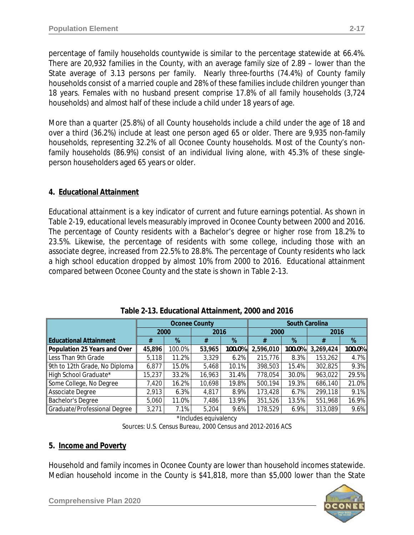percentage of family households countywide is similar to the percentage statewide at 66.4%. There are 20,932 families in the County, with an average family size of 2.89 – lower than the State average of 3.13 persons per family. Nearly three-fourths (74.4%) of County family households consist of a married couple and 28% of these families include children younger than 18 years. Females with no husband present comprise 17.8% of all family households (3,724 households) and almost half of these include a child under 18 years of age.

More than a quarter (25.8%) of all County households include a child under the age of 18 and over a third (36.2%) include at least one person aged 65 or older. There are 9,935 non-family households, representing 32.2% of all Oconee County households. Most of the County's nonfamily households (86.9%) consist of an individual living alone, with 45.3% of these singleperson householders aged 65 years or older.

## **4. Educational Attainment**

Educational attainment is a key indicator of current and future earnings potential. As shown in Table 2-19, educational levels measurably improved in Oconee County between 2000 and 2016. The percentage of County residents with a Bachelor's degree or higher rose from 18.2% to 23.5%. Likewise, the percentage of residents with some college, including those with an associate degree, increased from 22.5% to 28.8%. The percentage of County residents who lack a high school education dropped by almost 10% from 2000 to 2016. Educational attainment compared between Oconee County and the state is shown in Table 2-13.

|                               | <b>Oconee County</b> |        |        |         | <b>South Carolina</b> |         |           |        |
|-------------------------------|----------------------|--------|--------|---------|-----------------------|---------|-----------|--------|
|                               | 2000                 |        | 2016   |         | 2000                  |         | 2016      |        |
| <b>Educational Attainment</b> | #                    | %      | #      | %       | #                     | %       | #         | %      |
| Population 25 Years and Over  | 45,896               | 100.0% | 53,965 | 100.0%  | 2,596,010             | 100.0%  | 3,269,424 | 100.0% |
| Less Than 9th Grade           | 5,118                | 11.2%  | 3,329  | 6.2%    | 215,776               | 8.3%    | 153,262   | 4.7%   |
| 9th to 12th Grade, No Diploma | 6,877                | 15.0%  | 5,468  | 10.1%   | 398,503               | 15.4%   | 302,825   | 9.3%   |
| High School Graduate*         | 15,237               | 33.2%  | 16,963 | 31.4%   | 778,054               | 30.0%   | 963,022   | 29.5%  |
| Some College, No Degree       | 7,420                | 16.2%  | 10,698 | 19.8%   | 500,194               | 19.3%   | 686,140   | 21.0%  |
| Associate Degree              | 2,913                | 6.3%   | 4,817  | $8.9\%$ | 173,428               | 6.7%    | 299,118   | 9.1%   |
| <b>Bachelor's Degree</b>      | 5,060                | 11.0%  | 7,486  | 13.9%   | 351,526               | 13.5%   | 551,968   | 16.9%  |
| Graduate/Professional Degree  | 3,271                | 7.1%   | 5,204  | $9.6\%$ | 178,529               | $6.9\%$ | 313,089   | 9.6%   |

|  | Table 2-13. Educational Attainment, 2000 and 2016 |  |
|--|---------------------------------------------------|--|
|  |                                                   |  |

\*Includes equivalency *Sources: U.S. Census Bureau, 2000 Census and 2012-2016 ACS*

#### **5. Income and Poverty**

Household and family incomes in Oconee County are lower than household incomes statewide. Median household income in the County is \$41,818, more than \$5,000 lower than the State



**Comprehensive Plan 2020 years and the Comprehensive Plan 2020**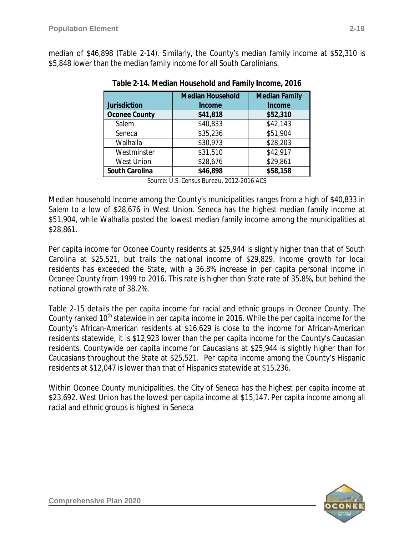median of \$46,898 (Table 2-14). Similarly, the County's median family income at \$52,310 is \$5,848 lower than the median family income for all South Carolinians.

| <b>Jurisdiction</b>  | <b>Median Household</b><br>Income | <b>Median Family</b><br><b>Income</b> |
|----------------------|-----------------------------------|---------------------------------------|
| <b>Oconee County</b> | \$41,818                          | \$52,310                              |
| Salem                | \$40,833                          | \$42,143                              |
| Seneca               | \$35,236                          | \$51,904                              |
| Walhalla             | \$30,973                          | \$28,203                              |
| Westminster          | \$31,510                          | \$42,917                              |
| <b>West Union</b>    | \$28,676                          | \$29,861                              |
| South Carolina       | \$46,898                          | \$58,158                              |

|  | Table 2-14. Median Household and Family Income, 2016 |  |  |
|--|------------------------------------------------------|--|--|

*Source: U.S. Census Bureau, 2012-2016 ACS*

Median household income among the County's municipalities ranges from a high of \$40,833 in Salem to a low of \$28,676 in West Union. Seneca has the highest median family income at \$51,904, while Walhalla posted the lowest median family income among the municipalities at \$28,861.

Per capita income for Oconee County residents at \$25,944 is slightly higher than that of South Carolina at \$25,521, but trails the national income of \$29,829. Income growth for local residents has exceeded the State, with a 36.8% increase in per capita personal income in Oconee County from 1999 to 2016. This rate is higher than State rate of 35.8%, but behind the national growth rate of 38.2%.

Table 2-15 details the per capita income for racial and ethnic groups in Oconee County. The County ranked 10<sup>th</sup> statewide in per capita income in 2016. While the per capita income for the County's African-American residents at \$16,629 is close to the income for African-American residents statewide, it is \$12,923 lower than the per capita income for the County's Caucasian residents. Countywide per capita income for Caucasians at \$25,944 is slightly higher than for Caucasians throughout the State at \$25,521. Per capita income among the County's Hispanic residents at \$12,047 is lower than that of Hispanics statewide at \$15,236.

Within Oconee County municipalities, the City of Seneca has the highest per capita income at \$23,692. West Union has the lowest per capita income at \$15,147. Per capita income among all racial and ethnic groups is highest in Seneca

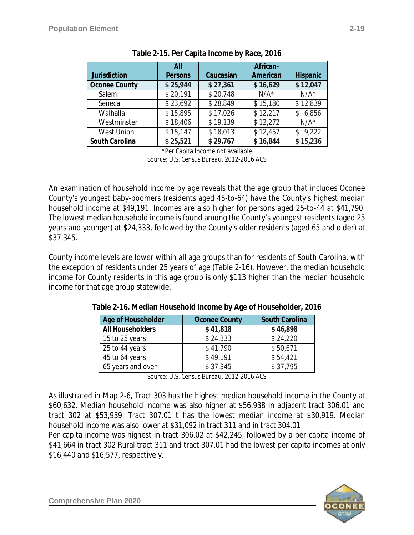|                      | All            |           | African- |                 |
|----------------------|----------------|-----------|----------|-----------------|
| <b>Jurisdiction</b>  | <b>Persons</b> | Caucasian | American | <b>Hispanic</b> |
| <b>Oconee County</b> | \$25,944       | \$27,361  | \$16,629 | \$12,047        |
| Salem                | \$20,191       | \$20,748  | $N/A^*$  | $N/A^*$         |
| Seneca               | \$23,692       | \$28,849  | \$15,180 | \$12,839        |
| Walhalla             | \$15,895       | \$17,026  | \$12,217 | \$6,856         |
| Westminster          | \$18,406       | \$19,139  | \$12,272 | $N/A^*$         |
| <b>West Union</b>    | \$15,147       | \$18,013  | \$12,457 | \$9,222         |
| South Carolina       | \$25,521       | \$29,767  | \$16,844 | \$15,236        |

| Table 2-15. Per Capita Income by Race, 2016 |  |  |
|---------------------------------------------|--|--|
|                                             |  |  |

\*Per Capita Income not available

*Source: U.S. Census Bureau, 2012-2016 ACS*

An examination of household income by age reveals that the age group that includes Oconee County's youngest baby-boomers (residents aged 45-to-64) have the County's highest median household income at \$49,191. Incomes are also higher for persons aged 25-to-44 at \$41,790. The lowest median household income is found among the County's youngest residents (aged 25 years and younger) at \$24,333, followed by the County's older residents (aged 65 and older) at \$37,345.

County income levels are lower within all age groups than for residents of South Carolina, with the exception of residents under 25 years of age (Table 2-16). However, the median household income for County residents in this age group is only \$113 higher than the median household income for that age group statewide.

| Age of Householder | <b>Oconee County</b> | <b>South Carolina</b> |
|--------------------|----------------------|-----------------------|
| All Householders   | \$41,818             | \$46,898              |
| 15 to 25 years     | \$24,333             | \$24,220              |
| 25 to 44 years     | \$41,790             | \$50,671              |
| 45 to 64 years     | \$49,191             | \$54,421              |
| 65 years and over  | \$37,345             | \$37,795              |

**Table 2-16. Median Household Income by Age of Householder, 2016**

*Source: U.S. Census Bureau, 2012-2016 ACS*

As illustrated in Map 2-6, Tract 303 has the highest median household income in the County at \$60,632. Median household income was also higher at \$56,938 in adjacent tract 306.01 and tract 302 at \$53,939. Tract 307.01 t has the lowest median income at \$30,919. Median household income was also lower at \$31,092 in tract 311 and in tract 304.01

Per capita income was highest in tract 306.02 at \$42,245, followed by a per capita income of \$41,664 in tract 302 Rural tract 311 and tract 307.01 had the lowest per capita incomes at only \$16,440 and \$16,577, respectively.

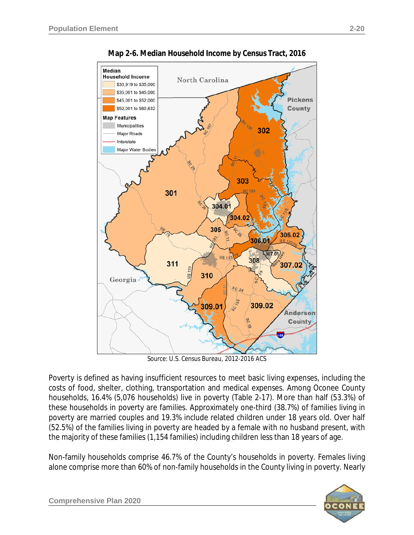

**Map 2-6. Median Household Income by Census Tract, 2016**

*Source: U.S. Census Bureau, 2012-2016 ACS*

Poverty is defined as having insufficient resources to meet basic living expenses, including the costs of food, shelter, clothing, transportation and medical expenses. Among Oconee County households, 16.4% (5,076 households) live in poverty (Table 2-17). More than half (53.3%) of these households in poverty are families. Approximately one-third (38.7%) of families living in poverty are married couples and 19.3% include related children under 18 years old. Over half (52.5%) of the families living in poverty are headed by a female with no husband present, with the majority of these families (1,154 families) including children less than 18 years of age.

Non-family households comprise 46.7% of the County's households in poverty. Females living alone comprise more than 60% of non-family households in the County living in poverty. Nearly

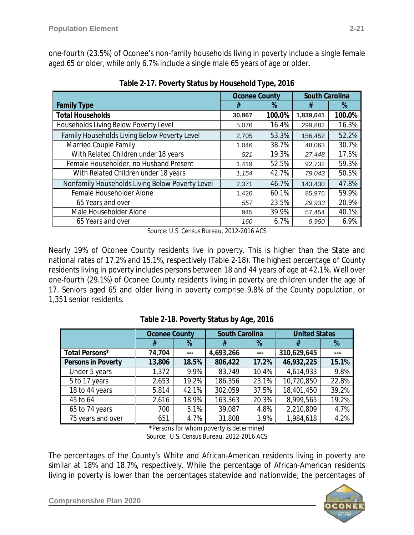one-fourth (23.5%) of Oconee's non-family households living in poverty include a single female aged 65 or older, while only 6.7% include a single male 65 years of age or older.

|                                                 | <b>Oconee County</b> |        | <b>South Carolina</b> |        |
|-------------------------------------------------|----------------------|--------|-----------------------|--------|
| <b>Family Type</b>                              | #                    | %      | #                     | %      |
| <b>Total Households</b>                         | 30,867               | 100.0% | 1,839,041             | 100.0% |
| Households Living Below Poverty Level           | 5,076                | 16.4%  | 299,882               | 16.3%  |
| Family Households Living Below Poverty Level    | 2,705                | 53.3%  | 156,452               | 52.2%  |
| Married Couple Family                           | 1,046                | 38.7%  | 48,063                | 30.7%  |
| With Related Children under 18 years            | 521                  | 19.3%  | 27,448                | 17.5%  |
| Female Householder, no Husband Present          | 1,419                | 52.5%  | 92,732                | 59.3%  |
| With Related Children under 18 years            | 1,154                | 42.7%  | 79,043                | 50.5%  |
| Nonfamily Households Living Below Poverty Level | 2,371                | 46.7%  | 143,430               | 47.8%  |
| Female Householder Alone                        | 1,426                | 60.1%  | 85,976                | 59.9%  |
| 65 Years and over                               | 557                  | 23.5%  | 29,933                | 20.9%  |
| Male Householder Alone                          | 945                  | 39.9%  | 57,454                | 40.1%  |
| 65 Years and over                               | 160                  | 6.7%   | 9.950                 | 6.9%   |

**Table 2-17. Poverty Status by Household Type, 2016**

*Source: U.S. Census Bureau, 2012-2016 ACS*

Nearly 19% of Oconee County residents live in poverty. This is higher than the State and national rates of 17.2% and 15.1%, respectively (Table 2-18). The highest percentage of County residents living in poverty includes persons between 18 and 44 years of age at 42.1%. Well over one-fourth (29.1%) of Oconee County residents living in poverty are children under the age of 17. Seniors aged 65 and older living in poverty comprise 9.8% of the County population, or 1,351 senior residents.

|                    | <b>Oconee County</b> |       | <b>South Carolina</b> |       | <b>United States</b> |       |
|--------------------|----------------------|-------|-----------------------|-------|----------------------|-------|
|                    | #                    | %     | #                     | %     | #                    | %     |
| Total Persons*     | 74,704               |       | 4,693,266             |       | 310,629,645          |       |
| Persons in Poverty | 13,806               | 18.5% | 806,422               | 17.2% | 46,932,225           | 15.1% |
| Under 5 years      | 1,372                | 9.9%  | 83,749                | 10.4% | 4,614,933            | 9.8%  |
| 5 to 17 years      | 2,653                | 19.2% | 186,356               | 23.1% | 10,720,850           | 22.8% |
| 18 to 44 years     | 5,814                | 42.1% | 302,059               | 37.5% | 18,401,450           | 39.2% |
| 45 to 64           | 2,616                | 18.9% | 163,363               | 20.3% | 8,999,565            | 19.2% |
| 65 to 74 years     | 700                  | 5.1%  | 39,087                | 4.8%  | 2,210,809            | 4.7%  |
| 75 years and over  | 651                  | 4.7%  | 31,808                | 3.9%  | 1,984,618            | 4.2%  |

#### **Table 2-18. Poverty Status by Age, 2016**

\*Persons for whom poverty is determined *Source: U.S. Census Bureau, 2012-2016 ACS*

The percentages of the County's White and African-American residents living in poverty are similar at 18% and 18.7%, respectively. While the percentage of African-American residents living in poverty is lower than the percentages statewide and nationwide, the percentages of



**Comprehensive Plan 2020**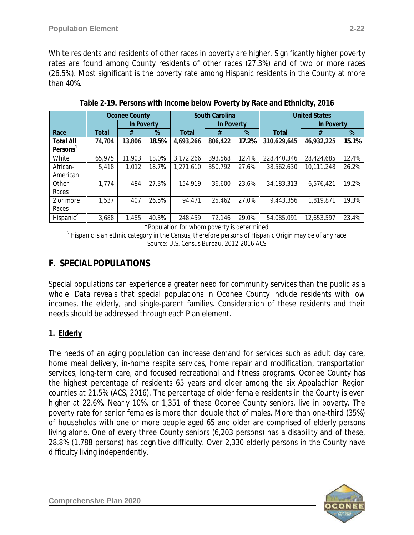White residents and residents of other races in poverty are higher. Significantly higher poverty rates are found among County residents of other races (27.3%) and of two or more races (26.5%). Most significant is the poverty rate among Hispanic residents in the County at more than 40%.

|                       |              | <b>Oconee County</b> |       |              | <b>South Carolina</b> |       |              | <b>United States</b> |       |
|-----------------------|--------------|----------------------|-------|--------------|-----------------------|-------|--------------|----------------------|-------|
|                       |              | In Poverty           |       |              | In Poverty            |       |              | In Poverty           |       |
| Race                  | <b>Total</b> | #                    | %     | <b>Total</b> | #                     | %     | <b>Total</b> | #                    | %     |
| <b>Total All</b>      | 74,704       | 13,806               | 18.5% | 4,693,266    | 806,422               | 17.2% | 310,629,645  | 46,932,225           | 15.1% |
| Persons <sup>1</sup>  |              |                      |       |              |                       |       |              |                      |       |
| White                 | 65,975       | 11,903               | 18.0% | 3,172,266    | 393,568               | 12.4% | 228,440,346  | 28,424,685           | 12.4% |
| African-              | 5,418        | 1,012                | 18.7% | 1,271,610    | 350,792               | 27.6% | 38,562,630   | 10,111,248           | 26.2% |
| American              |              |                      |       |              |                       |       |              |                      |       |
| Other                 | 1.774        | 484                  | 27.3% | 154,919      | 36,600                | 23.6% | 34, 183, 313 | 6,576,421            | 19.2% |
| Races                 |              |                      |       |              |                       |       |              |                      |       |
| 2 or more             | 1,537        | 407                  | 26.5% | 94,471       | 25,462                | 27.0% | 9,443,356    | 1,819,871            | 19.3% |
| Races                 |              |                      |       |              |                       |       |              |                      |       |
| Hispanic <sup>2</sup> | 3,688        | 1,485                | 40.3% | 248,459      | 72,146                | 29.0% | 54,085,091   | 12,653,597           | 23.4% |

**Table 2-19. Persons with Income below Poverty by Race and Ethnicity, 2016**

<sup>1</sup> Population for whom poverty is determined

 $<sup>2</sup>$  Hispanic is an ethnic category in the Census, therefore persons of Hispanic Origin may be of any race</sup> *Source: U.S. Census Bureau, 2012-2016 ACS*

## **F. SPECIAL POPULATIONS**

Special populations can experience a greater need for community services than the public as a whole. Data reveals that special populations in Oconee County include residents with low incomes, the elderly, and single-parent families. Consideration of these residents and their needs should be addressed through each Plan element.

## **1. Elderly**

The needs of an aging population can increase demand for services such as adult day care, home meal delivery, in-home respite services, home repair and modification, transportation services, long-term care, and focused recreational and fitness programs. Oconee County has the highest percentage of residents 65 years and older among the six Appalachian Region counties at 21.5% (ACS, 2016). The percentage of older female residents in the County is even higher at 22.6%. Nearly 10%, or 1,351 of these Oconee County seniors, live in poverty. The poverty rate for senior females is more than double that of males. More than one-third (35%) of households with one or more people aged 65 and older are comprised of elderly persons living alone. One of every three County seniors (6,203 persons) has a disability and of these, 28.8% (1,788 persons) has cognitive difficulty. Over 2,330 elderly persons in the County have difficulty living independently.

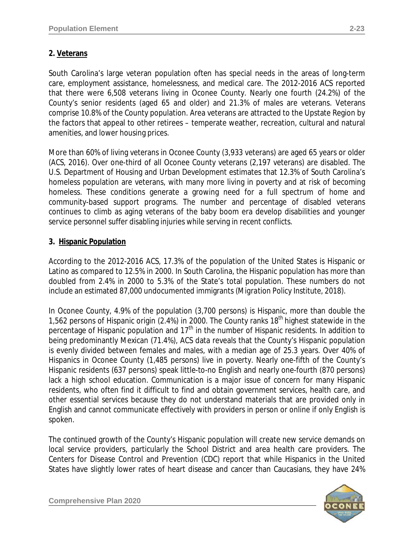#### **2. Veterans**

South Carolina's large veteran population often has special needs in the areas of long-term care, employment assistance, homelessness, and medical care. The 2012-2016 ACS reported that there were 6,508 veterans living in Oconee County. Nearly one fourth (24.2%) of the County's senior residents (aged 65 and older) and 21.3% of males are veterans. Veterans comprise 10.8% of the County population. Area veterans are attracted to the Upstate Region by the factors that appeal to other retirees – temperate weather, recreation, cultural and natural amenities, and lower housing prices.

More than 60% of living veterans in Oconee County (3,933 veterans) are aged 65 years or older *(ACS, 2016)*. Over one-third of all Oconee County veterans (2,197 veterans) are disabled. The U.S. Department of Housing and Urban Development estimates that 12.3% of South Carolina's homeless population are veterans, with many more living in poverty and at risk of becoming homeless. These conditions generate a growing need for a full spectrum of home and community-based support programs. The number and percentage of disabled veterans continues to climb as aging veterans of the baby boom era develop disabilities and younger service personnel suffer disabling injuries while serving in recent conflicts.

#### **3. Hispanic Population**

According to the 2012-2016 ACS, 17.3% of the population of the United States is Hispanic or Latino as compared to 12.5% in 2000. In South Carolina, the Hispanic population has more than doubled from 2.4% in 2000 to 5.3% of the State's total population. These numbers do not include an estimated 87,000 undocumented immigrants *(Migration Policy Institute, 2018)*.

In Oconee County, 4.9% of the population (3,700 persons) is Hispanic, more than double the 1,562 persons of Hispanic origin (2.4%) in 2000. The County ranks 18<sup>th</sup> highest statewide in the percentage of Hispanic population and  $17<sup>th</sup>$  in the number of Hispanic residents. In addition to being predominantly Mexican (71.4%), ACS data reveals that the County's Hispanic population is evenly divided between females and males, with a median age of 25.3 years. Over 40% of Hispanics in Oconee County (1,485 persons) live in poverty. Nearly one-fifth of the County's Hispanic residents (637 persons) speak little-to-no English and nearly one-fourth (870 persons) lack a high school education. Communication is a major issue of concern for many Hispanic residents, who often find it difficult to find and obtain government services, health care, and other essential services because they do not understand materials that are provided only in English and cannot communicate effectively with providers in person or online if only English is spoken.

The continued growth of the County's Hispanic population will create new service demands on local service providers, particularly the School District and area health care providers. The Centers for Disease Control and Prevention (CDC) report that while Hispanics in the United States have slightly lower rates of heart disease and cancer than Caucasians, they have 24%

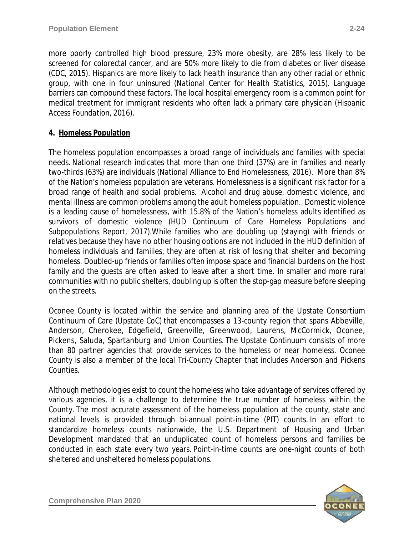more poorly controlled high blood pressure, 23% more obesity, are 28% less likely to be screened for colorectal cancer, and are 50% more likely to die from diabetes or liver disease *(CDC, 2015).* Hispanics are more likely to lack health insurance than any other racial or ethnic group, with one in four uninsured *(National Center for Health Statistics, 2015)*. Language barriers can compound these factors. The local hospital emergency room is a common point for medical treatment for immigrant residents who often lack a primary care physician *(Hispanic Access Foundation, 2016)*.

## **4. Homeless Population**

The homeless population encompasses a broad range of individuals and families with special needs. National research indicates that more than one third (37%) are in families and nearly two-thirds (63%) are individuals *(National Alliance to End Homelessness, 2016)*. More than 8% of the Nation's homeless population are veterans. Homelessness is a significant risk factor for a broad range of health and social problems. Alcohol and drug abuse, domestic violence, and mental illness are common problems among the adult homeless population. Domestic violence is a leading cause of homelessness, with 15.8% of the Nation's homeless adults identified as survivors of domestic violence *(HUD Continuum of Care Homeless Populations and Subpopulations Report, 2017)*.While families who are doubling up (staying) with friends or relatives because they have no other housing options are not included in the HUD definition of homeless individuals and families, they are often at risk of losing that shelter and becoming homeless. Doubled-up friends or families often impose space and financial burdens on the host family and the guests are often asked to leave after a short time. In smaller and more rural communities with no public shelters, doubling up is often the stop-gap measure before sleeping on the streets.

Oconee County is located within the service and planning area of the Upstate Consortium Continuum of Care (Upstate CoC) that encompasses a 13-county region that spans Abbeville, Anderson, Cherokee, Edgefield, Greenville, Greenwood, Laurens, McCormick, Oconee, Pickens, Saluda, Spartanburg and Union Counties. The Upstate Continuum consists of more than 80 partner agencies that provide services to the homeless or near homeless. Oconee County is also a member of the local Tri-County Chapter that includes Anderson and Pickens Counties.

Although methodologies exist to count the homeless who take advantage of services offered by various agencies, it is a challenge to determine the true number of homeless within the County. The most accurate assessment of the homeless population at the county, state and national levels is provided through bi-annual *point-in-time* (PIT) counts. In an effort to standardize homeless counts nationwide, the U.S. Department of Housing and Urban Development mandated that an unduplicated count of homeless persons and families be conducted in each state every two years. Point-in-time counts are one-night counts of both sheltered and unsheltered homeless populations.

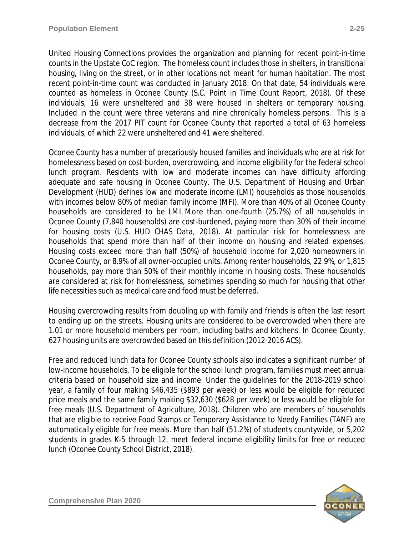United Housing Connections provides the organization and planning for recent point-in-time counts in the Upstate CoC region. The homeless count includes those in shelters, in transitional housing, living on the street, or in other locations not meant for human habitation. The most recent point-in-time count was conducted in January 2018. On that date, 54 individuals were counted as homeless in Oconee County *(S.C. Point in Time Count Report, 2018)*. Of these individuals, 16 were unsheltered and 38 were housed in shelters or temporary housing. Included in the count were three veterans and nine chronically homeless persons. This is a decrease from the 2017 PIT count for Oconee County that reported a total of 63 homeless individuals, of which 22 were unsheltered and 41 were sheltered.

Oconee County has a number of precariously housed families and individuals who are at risk for homelessness based on cost-burden, overcrowding, and income eligibility for the federal school lunch program. Residents with low and moderate incomes can have difficulty affording adequate and safe housing in Oconee County. The U.S. Department of Housing and Urban Development (HUD) defines low and moderate income (LMI) households as those households with incomes below 80% of median family income (MFI). More than 40% of all Oconee County households are considered to be LMI. More than one-fourth (25.7%) of all households in Oconee County (7,840 households) are cost-burdened, paying more than 30% of their income for housing costs *(U.S. HUD CHAS Data, 2018)*. At particular risk for homelessness are households that spend more than half of their income on housing and related expenses. Housing costs exceed more than half (50%) of household income for 2,020 homeowners in Oconee County, or 8.9% of all owner-occupied units. Among renter households, 22.9%, or 1,815 households, pay more than 50% of their monthly income in housing costs. These households are considered at risk for homelessness, sometimes spending so much for housing that other life necessities such as medical care and food must be deferred.

Housing overcrowding results from doubling up with family and friends is often the last resort to ending up on the streets. Housing units are considered to be overcrowded when there are 1.01 or more household members per room, including baths and kitchens. In Oconee County, 627 housing units are overcrowded based on this definition *(2012-2016 ACS)*.

Free and reduced lunch data for Oconee County schools also indicates a significant number of low-income households. To be eligible for the school lunch program, families must meet annual criteria based on household size and income. Under the guidelines for the 2018-2019 school year, a family of four making \$46,435 (\$893 per week) or less would be eligible for reduced price meals and the same family making \$32,630 (\$628 per week) or less would be eligible for free meals (*U.S. Department of Agriculture, 2018*). Children who are members of households that are eligible to receive Food Stamps or Temporary Assistance to Needy Families (TANF) are automatically eligible for free meals. More than half (51.2%) of students countywide, or 5,202 students in grades K-5 through 12, meet federal income eligibility limits for free or reduced lunch *(Oconee County School District, 2018)*.

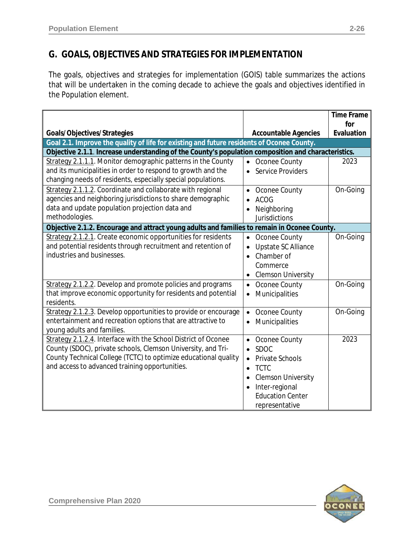# **G. GOALS, OBJECTIVES AND STRATEGIES FOR IMPLEMENTATION**

The goals, objectives and strategies for implementation (GOIS) table summarizes the actions that will be undertaken in the coming decade to achieve the goals and objectives identified in the Population element.

|                                                                                                     |                                     | <b>Time Frame</b> |  |  |  |
|-----------------------------------------------------------------------------------------------------|-------------------------------------|-------------------|--|--|--|
|                                                                                                     |                                     | for               |  |  |  |
| Goals/Objectives/Strategies                                                                         | <b>Accountable Agencies</b>         | Evaluation        |  |  |  |
| Goal 2.1. Improve the quality of life for existing and future residents of Oconee County.           |                                     |                   |  |  |  |
| Objective 2.1.1. Increase understanding of the County's population composition and characteristics. |                                     |                   |  |  |  |
| Strategy 2.1.1.1. Monitor demographic patterns in the County                                        | Oconee County<br>$\bullet$          | 2023              |  |  |  |
| and its municipalities in order to respond to growth and the                                        | Service Providers<br>$\bullet$      |                   |  |  |  |
| changing needs of residents, especially special populations.                                        |                                     |                   |  |  |  |
| Strategy 2.1.1.2. Coordinate and collaborate with regional                                          | Oconee County<br>٠                  | On-Going          |  |  |  |
| agencies and neighboring jurisdictions to share demographic                                         | <b>ACOG</b><br>$\bullet$            |                   |  |  |  |
| data and update population projection data and                                                      | Neighboring<br>$\bullet$            |                   |  |  |  |
| methodologies.                                                                                      | <b>Jurisdictions</b>                |                   |  |  |  |
| Objective 2.1.2. Encourage and attract young adults and families to remain in Oconee County.        |                                     |                   |  |  |  |
| Strategy 2.1.2.1. Create economic opportunities for residents                                       | Oconee County<br>$\bullet$          | On-Going          |  |  |  |
| and potential residents through recruitment and retention of                                        | Upstate SC Alliance<br>$\bullet$    |                   |  |  |  |
| industries and businesses.                                                                          | Chamber of<br>$\bullet$             |                   |  |  |  |
|                                                                                                     | Commerce                            |                   |  |  |  |
|                                                                                                     | <b>Clemson University</b>           |                   |  |  |  |
| Strategy 2.1.2.2. Develop and promote policies and programs                                         | Oconee County<br>$\bullet$          | On-Going          |  |  |  |
| that improve economic opportunity for residents and potential                                       | Municipalities<br>$\bullet$         |                   |  |  |  |
| residents.                                                                                          |                                     |                   |  |  |  |
| Strategy 2.1.2.3. Develop opportunities to provide or encourage                                     | Oconee County<br>$\bullet$          | On-Going          |  |  |  |
| entertainment and recreation options that are attractive to                                         | Municipalities<br>$\bullet$         |                   |  |  |  |
| young adults and families.                                                                          |                                     |                   |  |  |  |
| Strategy 2.1.2.4. Interface with the School District of Oconee                                      | Oconee County<br>$\bullet$          | 2023              |  |  |  |
| County (SDOC), private schools, Clemson University, and Tri-                                        | <b>SDOC</b><br>$\bullet$            |                   |  |  |  |
| County Technical College (TCTC) to optimize educational quality                                     | <b>Private Schools</b><br>$\bullet$ |                   |  |  |  |
| and access to advanced training opportunities.                                                      | <b>TCTC</b><br>$\bullet$            |                   |  |  |  |
|                                                                                                     | <b>Clemson University</b>           |                   |  |  |  |
|                                                                                                     | Inter-regional                      |                   |  |  |  |
|                                                                                                     | <b>Education Center</b>             |                   |  |  |  |
|                                                                                                     | representative                      |                   |  |  |  |

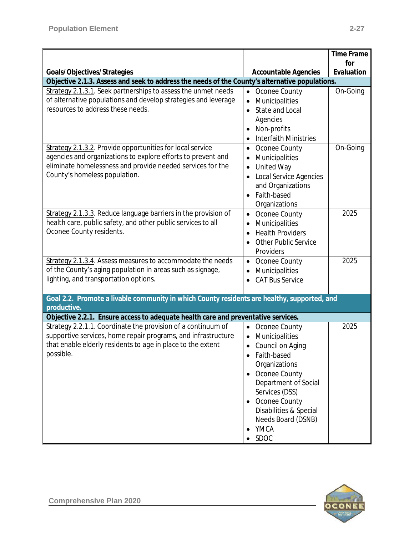|                                                                                                |                                           | <b>Time Frame</b> |
|------------------------------------------------------------------------------------------------|-------------------------------------------|-------------------|
| Goals/Objectives/Strategies                                                                    |                                           | for<br>Evaluation |
| Objective 2.1.3. Assess and seek to address the needs of the County's alternative populations. | <b>Accountable Agencies</b>               |                   |
| Strategy 2.1.3.1. Seek partnerships to assess the unmet needs                                  | Oconee County<br>$\bullet$                | On-Going          |
| of alternative populations and develop strategies and leverage                                 | Municipalities<br>$\bullet$               |                   |
| resources to address these needs.                                                              | <b>State and Local</b><br>$\bullet$       |                   |
|                                                                                                | Agencies                                  |                   |
|                                                                                                | Non-profits                               |                   |
|                                                                                                | <b>Interfaith Ministries</b><br>$\bullet$ |                   |
| Strategy 2.1.3.2. Provide opportunities for local service                                      | Oconee County<br>$\bullet$                | On-Going          |
| agencies and organizations to explore efforts to prevent and                                   | Municipalities<br>$\bullet$               |                   |
| eliminate homelessness and provide needed services for the                                     | <b>United Way</b><br>$\bullet$            |                   |
| County's homeless population.                                                                  | <b>Local Service Agencies</b><br>٠        |                   |
|                                                                                                | and Organizations                         |                   |
|                                                                                                | Faith-based                               |                   |
|                                                                                                | Organizations                             |                   |
| Strategy 2.1.3.3. Reduce language barriers in the provision of                                 | Oconee County<br>$\bullet$                | 2025              |
| health care, public safety, and other public services to all                                   | Municipalities<br>$\bullet$               |                   |
| Oconee County residents.                                                                       | <b>Health Providers</b><br>$\bullet$      |                   |
|                                                                                                | <b>Other Public Service</b>               |                   |
| Strategy 2.1.3.4. Assess measures to accommodate the needs                                     | Providers<br>• Oconee County              | 2025              |
| of the County's aging population in areas such as signage,                                     | Municipalities                            |                   |
| lighting, and transportation options.                                                          | $\bullet$<br><b>CAT Bus Service</b>       |                   |
|                                                                                                |                                           |                   |
| Goal 2.2. Promote a livable community in which County residents are healthy, supported, and    |                                           |                   |
| productive.                                                                                    |                                           |                   |
| Objective 2.2.1. Ensure access to adequate health care and preventative services.              |                                           |                   |
| Strategy 2.2.1.1. Coordinate the provision of a continuum of                                   | Oconee County<br>$\bullet$                | 2025              |
| supportive services, home repair programs, and infrastructure                                  | Municipalities<br>$\bullet$               |                   |
| that enable elderly residents to age in place to the extent                                    | Council on Aging<br>$\bullet$             |                   |
| possible.                                                                                      | Faith-based                               |                   |
|                                                                                                | Organizations                             |                   |
|                                                                                                | Oconee County<br>$\bullet$                |                   |
|                                                                                                | Department of Social<br>Services (DSS)    |                   |
|                                                                                                | Oconee County<br>$\bullet$                |                   |
|                                                                                                | Disabilities & Special                    |                   |
|                                                                                                | Needs Board (DSNB)                        |                   |
|                                                                                                | YMCA                                      |                   |
|                                                                                                | <b>SDOC</b>                               |                   |

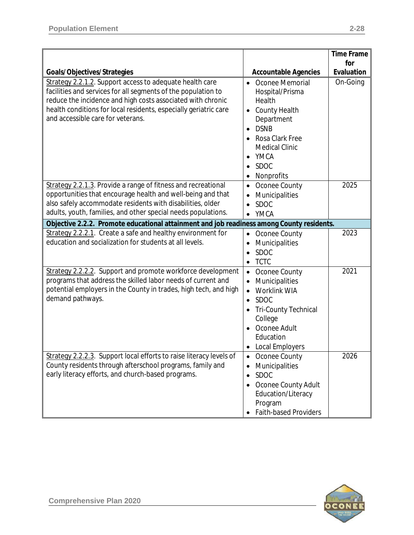|                                                                                                                                                                                                                                                                                                   |                                                                                                                                                                                                              | <b>Time Frame</b> |
|---------------------------------------------------------------------------------------------------------------------------------------------------------------------------------------------------------------------------------------------------------------------------------------------------|--------------------------------------------------------------------------------------------------------------------------------------------------------------------------------------------------------------|-------------------|
| Goals/Objectives/Strategies                                                                                                                                                                                                                                                                       | <b>Accountable Agencies</b>                                                                                                                                                                                  | for<br>Evaluation |
| Strategy 2.2.1.2. Support access to adequate health care<br>facilities and services for all segments of the population to<br>reduce the incidence and high costs associated with chronic<br>health conditions for local residents, especially geriatric care<br>and accessible care for veterans. | Oconee Memorial<br>$\bullet$<br>Hospital/Prisma<br>Health<br><b>County Health</b><br>$\bullet$<br>Department<br><b>DSNB</b><br>Rosa Clark Free<br><b>Medical Clinic</b><br>YMCA<br><b>SDOC</b><br>Nonprofits | On-Going          |
| Strategy 2.2.1.3. Provide a range of fitness and recreational<br>opportunities that encourage health and well-being and that<br>also safely accommodate residents with disabilities, older<br>adults, youth, families, and other special needs populations.                                       | Oconee County<br>$\bullet$<br>Municipalities<br><b>SDOC</b><br><b>YMCA</b>                                                                                                                                   | 2025              |
| Objective 2.2.2. Promote educational attainment and job readiness among County residents.                                                                                                                                                                                                         |                                                                                                                                                                                                              |                   |
| Strategy 2.2.2.1. Create a safe and healthy environment for<br>education and socialization for students at all levels.                                                                                                                                                                            | Oconee County<br>$\bullet$<br>Municipalities<br><b>SDOC</b><br>$\bullet$<br><b>TCTC</b><br>٠                                                                                                                 | 2023              |
| Strategy 2.2.2.2. Support and promote workforce development<br>programs that address the skilled labor needs of current and<br>potential employers in the County in trades, high tech, and high<br>demand pathways.                                                                               | Oconee County<br>$\bullet$<br>Municipalities<br>Worklink WIA<br><b>SDOC</b><br>$\bullet$<br><b>Tri-County Technical</b><br>College<br>Oconee Adult<br>Education<br><b>Local Employers</b>                    | 2021              |
| Strategy 2.2.2.3. Support local efforts to raise literacy levels of<br>County residents through afterschool programs, family and<br>early literacy efforts, and church-based programs.                                                                                                            | Oconee County<br>$\bullet$<br>Municipalities<br><b>SDOC</b><br>$\bullet$<br>Oconee County Adult<br>Education/Literacy<br>Program<br><b>Faith-based Providers</b>                                             | 2026              |